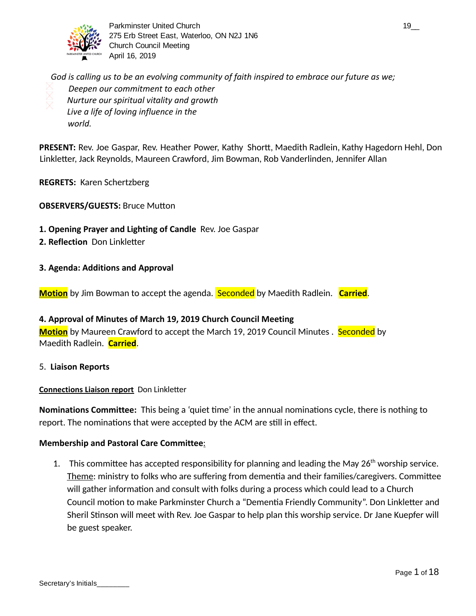

Parkminster United Church 19\_2 and the state of the state of the state of the state of the state of the state of the state of the state of the state of the state of the state of the state of the state of the state of the s 275 Erb Street East, Waterloo, ON N2J 1N6 Church Council Meeting April 16, 2019

*God is calling us to be an evolving community of faith inspired to embrace our future as we; Deepen our commitment to each other Nurture our spiritual vitality and growth Live a life of loving influence in the world.*

**PRESENT:** Rev. Joe Gaspar, Rev. Heather Power, Kathy Shortt, Maedith Radlein, Kathy Hagedorn Hehl, Don Linkletter, Jack Reynolds, Maureen Crawford, Jim Bowman, Rob Vanderlinden, Jennifer Allan

## **REGRETS:** Karen Schertzberg

- **OBSERVERS/GUESTS: Bruce Mutton**
- **1. Opening Prayer and Lighting of Candle** Rev. Joe Gaspar
- **2. Reflection Don Linkletter**
- **3. Agenda: Additions and Approval**

**Motion** by Jim Bowman to accept the agenda. **Seconded** by Maedith Radlein. **Carried**.

## **4. Approval of Minutes of March 19, 2019 Church Council Meeting**

**Motion** by Maureen Crawford to accept the March 19, 2019 Council Minutes . Seconded by Maedith Radlein. **Carried** .

5. **Liaison Reports** 

## **Connections Liaison report** Don Linkletter

**Nominations Committee:** This being a 'quiet time' in the annual nominations cycle, there is nothing to report. The nominations that were accepted by the ACM are still in effect.

## **Membership and Pastoral Care Committee** :

1. This committee has accepted responsibility for planning and leading the May 26<sup>th</sup> worship service. Theme: ministry to folks who are suffering from dementia and their families/caregivers. Committee will gather information and consult with folks during a process which could lead to a Church Council motion to make Parkminster Church a "Dementia Friendly Community". Don Linkletter and Sheril Stinson will meet with Rev. Joe Gaspar to help plan this worship service. Dr Jane Kuepfer will be guest speaker.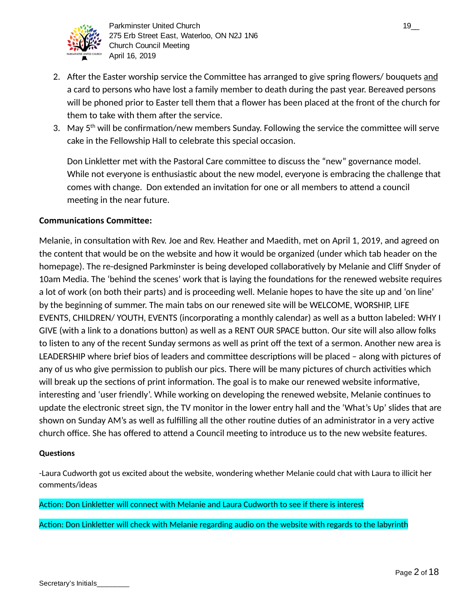

- 2. After the Easter worship service the Committee has arranged to give spring flowers/ bouquets and a card to persons who have lost a family member to death during the past year. Bereaved persons will be phoned prior to Easter tell them that a flower has been placed at the front of the church for them to take with them after the service.
- 3. May  $5<sup>th</sup>$  will be confirmation/new members Sunday. Following the service the committee will serve cake in the Fellowship Hall to celebrate this special occasion.

Don Linkletter met with the Pastoral Care committee to discuss the "new" governance model. While not everyone is enthusiastic about the new model, everyone is embracing the challenge that comes with change. Don extended an invitation for one or all members to attend a council meeting in the near future.

## **Communications Committee:**

Melanie, in consultation with Rev. Joe and Rev. Heather and Maedith, met on April 1, 2019, and agreed on the content that would be on the website and how it would be organized (under which tab header on the homepage). The re-designed Parkminster is being developed collaboratively by Melanie and Cliff Snyder of 10am Media. The 'behind the scenes' work that is laying the foundations for the renewed website requires a lot of work (on both their parts) and is proceeding well. Melanie hopes to have the site up and 'on line' by the beginning of summer. The main tabs on our renewed site will be WELCOME, WORSHIP, LIFE EVENTS, CHILDREN/ YOUTH, EVENTS (incorporating a monthly calendar) as well as a button labeled: WHY I GIVE (with a link to a donations button) as well as a RENT OUR SPACE button. Our site will also allow folks to listen to any of the recent Sunday sermons as well as print off the text of a sermon. Another new area is LEADERSHIP where brief bios of leaders and committee descriptions will be placed - along with pictures of any of us who give permission to publish our pics. There will be many pictures of church activities which will break up the sections of print information. The goal is to make our renewed website informative, interesting and 'user friendly'. While working on developing the renewed website, Melanie continues to update the electronic street sign, the TV monitor in the lower entry hall and the 'What's Up' slides that are shown on Sunday AM's as well as fulfilling all the other routine duties of an administrator in a very active church office. She has offered to attend a Council meeting to introduce us to the new website features.

## **Questions**

-Laura Cudworth got us excited about the website, wondering whether Melanie could chat with Laura to illicit her comments/ideas

## Action: Don Linkletter will connect with Melanie and Laura Cudworth to see if there is interest

Action: Don Linkletter will check with Melanie regarding audio on the website with regards to the labyrinth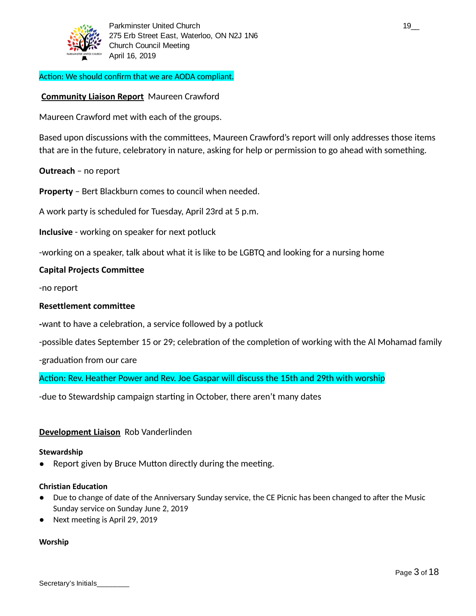

## Action: We should confirm that we are AODA compliant.

## **Community Liaison Report** Maureen Crawford

Maureen Crawford met with each of the groups.

Based upon discussions with the committees, Maureen Crawford's report will only addresses those items that are in the future, celebratory in nature, asking for help or permission to go ahead with something.

## **Outreach** – no report

**Property** – Bert Blackburn comes to council when needed.

A work party is scheduled for Tuesday, April 23rd at 5 p.m.

**Inclusive** - working on speaker for next potluck

-working on a speaker, talk about what it is like to be LGBTQ and looking for a nursing home

## **Capital Projects Committee**

-no report

### **Resettlement committee**

-want to have a celebration, a service followed by a potluck

-possible dates September 15 or 29; celebration of the completion of working with the Al Mohamad family

-graduation from our care

Action: Rev. Heather Power and Rev. Joe Gaspar will discuss the 15th and 29th with worship

-due to Stewardship campaign starting in October, there aren't many dates

## **Development Liaison** Rob Vanderlinden

#### **Stewardship**

 $\bullet$  Report given by Bruce Mutton directly during the meeting.

#### **Christian Education**

- Due to change of date of the Anniversary Sunday service, the CE Picnic has been changed to after the Music Sunday service on Sunday June 2, 2019
- Next meeting is April 29, 2019

#### **Worship**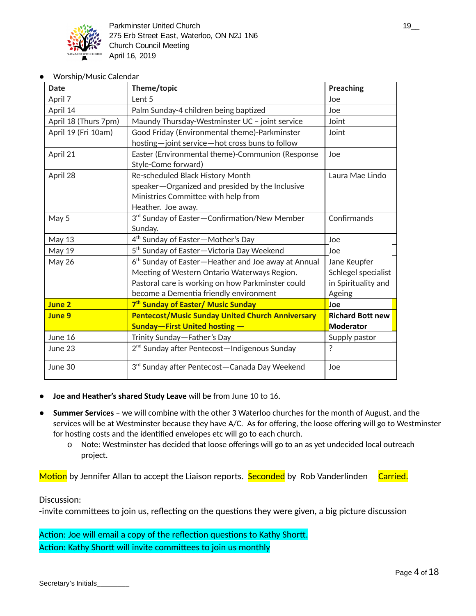

Worship/Music Calendar

| <b>Date</b>          | Theme/topic                                                     | <b>Preaching</b>        |
|----------------------|-----------------------------------------------------------------|-------------------------|
| April 7              | Lent 5                                                          | Joe                     |
| April 14             | Palm Sunday-4 children being baptized                           | Joe                     |
| April 18 (Thurs 7pm) | Maundy Thursday-Westminster UC - joint service                  | Joint                   |
| April 19 (Fri 10am)  | Good Friday (Environmental theme)-Parkminster                   | Joint                   |
|                      | hosting-joint service-hot cross buns to follow                  |                         |
| April 21             | Easter (Environmental theme)-Communion (Response                | Joe                     |
|                      | Style-Come forward)                                             |                         |
| April 28             | Re-scheduled Black History Month                                | Laura Mae Lindo         |
|                      | speaker-Organized and presided by the Inclusive                 |                         |
|                      | Ministries Committee with help from                             |                         |
|                      | Heather. Joe away.                                              |                         |
| May 5                | 3rd Sunday of Easter-Confirmation/New Member                    | Confirmands             |
|                      | Sunday.                                                         |                         |
| <b>May 13</b>        | 4 <sup>th</sup> Sunday of Easter-Mother's Day                   | Joe                     |
| May 19               | 5 <sup>th</sup> Sunday of Easter-Victoria Day Weekend           | Joe                     |
| <b>May 26</b>        | 6 <sup>th</sup> Sunday of Easter-Heather and Joe away at Annual | Jane Keupfer            |
|                      | Meeting of Western Ontario Waterways Region.                    | Schlegel specialist     |
|                      | Pastoral care is working on how Parkminster could               | in Spirituality and     |
|                      | become a Dementia friendly environment                          | Ageing                  |
| <b>June 2</b>        | 7 <sup>th</sup> Sunday of Easter/ Music Sunday                  | <b>Joe</b>              |
| June 9               | <b>Pentecost/Music Sunday United Church Anniversary</b>         | <b>Richard Bott new</b> |
|                      | <b>Sunday-First United hosting-</b>                             | <b>Moderator</b>        |
| June 16              | Trinity Sunday-Father's Day                                     | Supply pastor           |
| June 23              | 2 <sup>nd</sup> Sunday after Pentecost-Indigenous Sunday        | ?                       |
| June 30              | 3 <sup>rd</sup> Sunday after Pentecost-Canada Day Weekend       | Joe                     |

- **Joe and Heather's shared Study Leave** will be from June 10 to 16.
- **Summer Services** we will combine with the other 3 Waterloo churches for the month of August, and the services will be at Westminster because they have A/C. As for offering, the loose offering will go to Westminster for hosting costs and the identified envelopes etc will go to each church.
	- o Note: Westminster has decided that loose offerings will go to an as yet undecided local outreach project.

Motion by Jennifer Allan to accept the Liaison reports. Seconded by Rob Vanderlinden Carried.

## Discussion:

-invite committees to join us, reflecting on the questions they were given, a big picture discussion

Action: Joe will email a copy of the reflection questions to Kathy Shortt. Action: Kathy Shortt will invite committees to join us monthly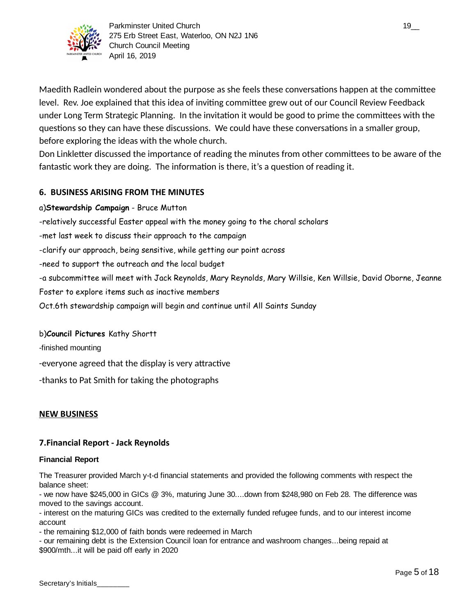

Maedith Radlein wondered about the purpose as she feels these conversations happen at the committee level. Rev. Joe explained that this idea of inviting committee grew out of our Council Review Feedback under Long Term Strategic Planning. In the invitation it would be good to prime the committees with the questions so they can have these discussions. We could have these conversations in a smaller group, before exploring the ideas with the whole church.

Don Linkletter discussed the importance of reading the minutes from other committees to be aware of the fantastic work they are doing. The information is there, it's a question of reading it.

## **6. BUSINESS ARISING FROM THE MINUTES**

- a)**Stewardship Campaign** Bruce Mutton
- -relatively successful Easter appeal with the money going to the choral scholars
- -met last week to discuss their approach to the campaign
- -clarify our approach, being sensitive, while getting our point across
- -need to support the outreach and the local budget
- -a subcommittee will meet with Jack Reynolds, Mary Reynolds, Mary Willsie, Ken Willsie, David Oborne, Jeanne
- Foster to explore items such as inactive members
- Oct.6th stewardship campaign will begin and continue until All Saints Sunday

## b)**Council Pictures** Kathy Shortt

- -finished mounting
- -everyone agreed that the display is very attractive
- -thanks to Pat Smith for taking the photographs

## **NEW BUSINESS**

## **7.Financial Report - Jack Reynolds**

#### **Financial Report**

The Treasurer provided March y-t-d financial statements and provided the following comments with respect the balance sheet:

- we now have \$245,000 in GICs  $@$  3%, maturing June 30...down from \$248,980 on Feb 28. The difference was moved to the savings account.

- interest on the maturing GICs was credited to the externally funded refugee funds, and to our interest income account

- the remaining \$12,000 of faith bonds were redeemed in March

- our remaining debt is the Extension Council loan for entrance and washroom changes...being repaid at \$900/mth...it will be paid off early in 2020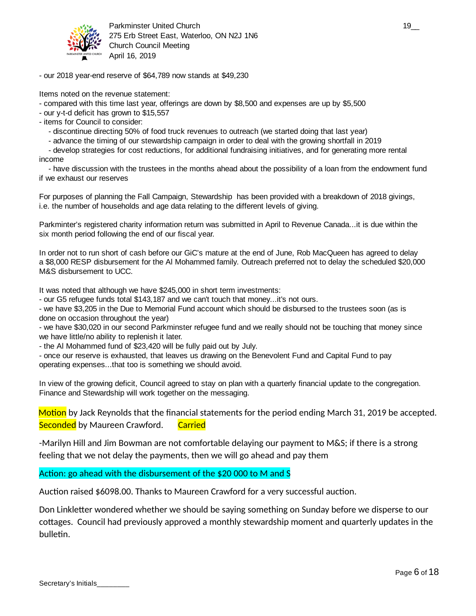

Parkminster United Church 19\_2 and the state of the state of the state of the state of the state of the state o 275 Erb Street East, Waterloo, ON N2J 1N6 Church Council Meeting April 16, 2019

- our 2018 year-end reserve of \$64,789 now stands at \$49,230

Items noted on the revenue statement:

- compared with this time last year, offerings are down by \$8,500 and expenses are up by \$5,500

- our y-t-d deficit has grown to \$15,557

- items for Council to consider:

- discontinue directing 50% of food truck revenues to outreach (we started doing that last year)

- advance the timing of our stewardship campaign in order to deal with the growing shortfall in 2019

- develop strategies for cost reductions, for additional fundraising initiatives, and for generating more rental income

- have discussion with the trustees in the months ahead about the possibility of a loan from the endowment fund if we exhaust our reserves

For purposes of planning the Fall Campaign, Stewardship has been provided with a breakdown of 2018 givings, i.e. the number of households and age data relating to the different levels of giving.

Parkminter's registered charity information return was submitted in April to Revenue Canada...it is due within the six month period following the end of our fiscal year.

In order not to run short of cash before our GiC's mature at the end of June, Rob MacQueen has agreed to delay a \$8,000 RESP disbursement for the Al Mohammed family. Outreach preferred not to delay the scheduled \$20,000 M&S disbursement to UCC.

It was noted that although we have \$245,000 in short term investments:

- our G5 refugee funds total \$143,187 and we can't touch that money...it's not ours.

- we have \$3,205 in the Due to Memorial Fund account which should be disbursed to the trustees soon (as is done on occasion throughout the year)

- we have \$30,020 in our second Parkminster refugee fund and we really should not be touching that money since we have little/no ability to replenish it later.

- the Al Mohammed fund of \$23,420 will be fully paid out by July.

- once our reserve is exhausted, that leaves us drawing on the Benevolent Fund and Capital Fund to pay operating expenses...that too is something we should avoid.

In view of the growing deficit, Council agreed to stay on plan with a quarterly financial update to the congregation. Finance and Stewardship will work together on the messaging.

Motion by Jack Reynolds that the financial statements for the period ending March 31, 2019 be accepted. Seconded by Maureen Crawford. Carried

-Marilyn Hill and Jim Bowman are not comfortable delaying our payment to M&S; if there is a strong feeling that we not delay the payments, then we will go ahead and pay them

Action: go ahead with the disbursement of the  $$20,000$  to M and S

Auction raised \$6098.00. Thanks to Maureen Crawford for a very successful auction.

Don Linkletter wondered whether we should be saying something on Sunday before we disperse to our cottages. Council had previously approved a monthly stewardship moment and quarterly updates in the bulletin.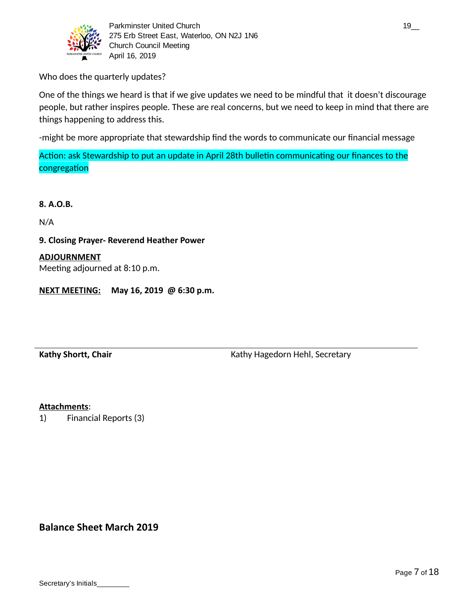

Parkminster United Church 19\_000 and 19\_000 and 19\_000 and 19\_000 and 19\_000 and 19\_000 and 19\_000 and 19\_000 and 19 275 Erb Street East, Waterloo, ON N2J 1N6 Church Council Meeting April 16, 2019

Who does the quarterly updates?

One of the things we heard is that if we give updates we need to be mindful that it doesn't discourage people, but rather inspires people. These are real concerns, but we need to keep in mind that there are things happening to address this.

-might be more appropriate that stewardship find the words to communicate our financial message

Action: ask Stewardship to put an update in April 28th bulletin communicating our finances to the congregation

**8. A.O.B.**

N/A

**9. Closing Prayer- Reverend Heather Power**

## **ADJOURNMENT**

Meeting adjourned at 8:10 p.m.

**NEXT MEETING: May 16, 2019 @ 6:30 p.m.**

Kathy Shortt, Chair **Kathy Hagedorn Hehl, Secretary** Kathy Hagedorn Hehl, Secretary

## **Attachments** :

1) Financial Reports (3)

**Balance Sheet March 2019**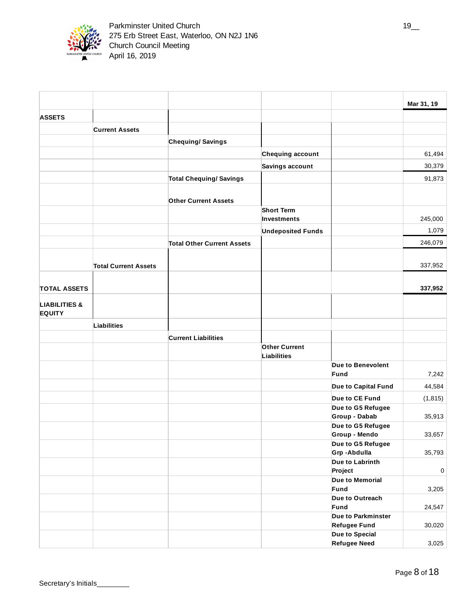

|                                           |                             |                                   |                          |                                    | Mar 31, 19 |
|-------------------------------------------|-----------------------------|-----------------------------------|--------------------------|------------------------------------|------------|
| <b>ASSETS</b>                             |                             |                                   |                          |                                    |            |
|                                           | <b>Current Assets</b>       |                                   |                          |                                    |            |
|                                           |                             | <b>Chequing/Savings</b>           |                          |                                    |            |
|                                           |                             |                                   |                          |                                    |            |
|                                           |                             |                                   | <b>Chequing account</b>  |                                    | 61,494     |
|                                           |                             |                                   | <b>Savings account</b>   |                                    | 30,379     |
|                                           |                             | <b>Total Chequing/ Savings</b>    |                          |                                    | 91,873     |
|                                           |                             | <b>Other Current Assets</b>       |                          |                                    |            |
|                                           |                             |                                   | <b>Short Term</b>        |                                    |            |
|                                           |                             |                                   | Investments              |                                    | 245,000    |
|                                           |                             |                                   | <b>Undeposited Funds</b> |                                    | 1,079      |
|                                           |                             | <b>Total Other Current Assets</b> |                          |                                    | 246,079    |
|                                           |                             |                                   |                          |                                    |            |
|                                           | <b>Total Current Assets</b> |                                   |                          |                                    | 337,952    |
|                                           |                             |                                   |                          |                                    |            |
| <b>TOTAL ASSETS</b>                       |                             |                                   |                          |                                    | 337,952    |
| <b>LIABILITIES &amp;</b><br><b>EQUITY</b> |                             |                                   |                          |                                    |            |
|                                           | Liabilities                 |                                   |                          |                                    |            |
|                                           |                             | <b>Current Liabilities</b>        |                          |                                    |            |
|                                           |                             |                                   | <b>Other Current</b>     |                                    |            |
|                                           |                             |                                   | <b>Liabilities</b>       |                                    |            |
|                                           |                             |                                   |                          | Due to Benevolent                  |            |
|                                           |                             |                                   |                          | Fund                               | 7,242      |
|                                           |                             |                                   |                          | Due to Capital Fund                | 44,584     |
|                                           |                             |                                   |                          | Due to CE Fund                     | (1, 815)   |
|                                           |                             |                                   |                          | Due to G5 Refugee                  |            |
|                                           |                             |                                   |                          | <b>Group - Dabab</b>               | 35,913     |
|                                           |                             |                                   |                          | Due to G5 Refugee                  |            |
|                                           |                             |                                   |                          | Group - Mendo<br>Due to G5 Refugee | 33,657     |
|                                           |                             |                                   |                          | Grp-Abdulla                        | 35,793     |
|                                           |                             |                                   |                          | Due to Labrinth                    |            |
|                                           |                             |                                   |                          | Project                            | $\pmb{0}$  |
|                                           |                             |                                   |                          | Due to Memorial                    |            |
|                                           |                             |                                   |                          | Fund                               | 3,205      |
|                                           |                             |                                   |                          | Due to Outreach                    |            |
|                                           |                             |                                   |                          | Fund<br>Due to Parkminster         | 24,547     |
|                                           |                             |                                   |                          | <b>Refugee Fund</b>                | 30,020     |
|                                           |                             |                                   |                          | Due to Special                     |            |
|                                           |                             |                                   |                          | <b>Refugee Need</b>                | 3,025      |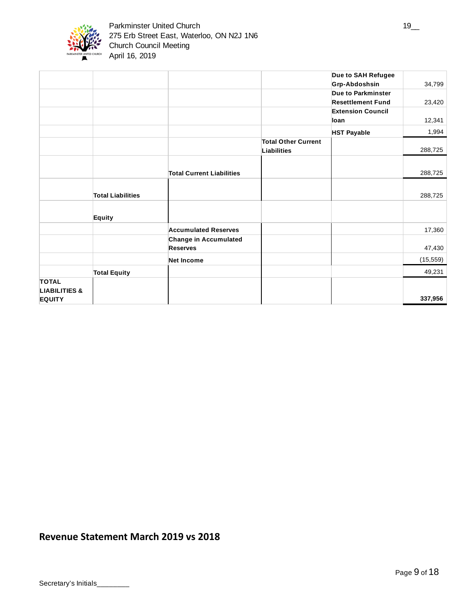

|                                                           |                          |                                                 |                                                  | Due to SAH Refugee<br>Grp-Abdoshsin            | 34,799    |
|-----------------------------------------------------------|--------------------------|-------------------------------------------------|--------------------------------------------------|------------------------------------------------|-----------|
|                                                           |                          |                                                 |                                                  | Due to Parkminster<br><b>Resettlement Fund</b> | 23,420    |
|                                                           |                          |                                                 |                                                  | <b>Extension Council</b><br>loan               | 12,341    |
|                                                           |                          |                                                 |                                                  | <b>HST Payable</b>                             | 1,994     |
|                                                           |                          |                                                 | <b>Total Other Current</b><br><b>Liabilities</b> |                                                | 288,725   |
|                                                           |                          | <b>Total Current Liabilities</b>                |                                                  |                                                | 288,725   |
|                                                           | <b>Total Liabilities</b> |                                                 |                                                  |                                                | 288,725   |
|                                                           | Equity                   |                                                 |                                                  |                                                |           |
|                                                           |                          | <b>Accumulated Reserves</b>                     |                                                  |                                                | 17,360    |
|                                                           |                          | <b>Change in Accumulated</b><br><b>Reserves</b> |                                                  |                                                | 47,430    |
|                                                           |                          | <b>Net Income</b>                               |                                                  |                                                | (15, 559) |
|                                                           | <b>Total Equity</b>      |                                                 |                                                  |                                                | 49,231    |
| <b>TOTAL</b><br><b>LIABILITIES &amp;</b><br><b>EQUITY</b> |                          |                                                 |                                                  |                                                | 337,956   |

# **Revenue Statement March 2019 vs 2018**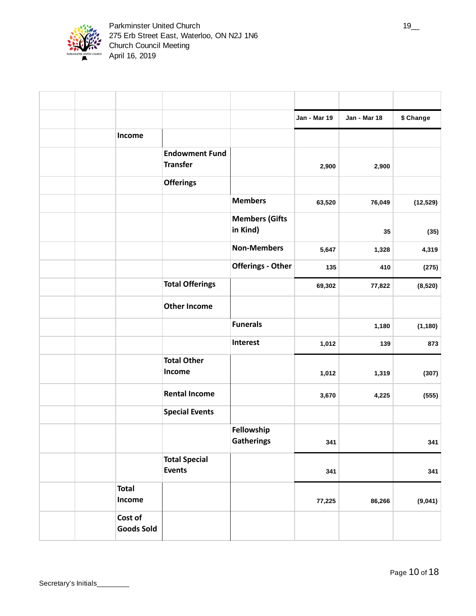

|                        |                                          |                                   | Jan - Mar 19 | Jan - Mar 18 | \$ Change |
|------------------------|------------------------------------------|-----------------------------------|--------------|--------------|-----------|
| Income                 |                                          |                                   |              |              |           |
|                        | <b>Endowment Fund</b><br><b>Transfer</b> |                                   | 2,900        | 2,900        |           |
|                        | <b>Offerings</b>                         |                                   |              |              |           |
|                        |                                          | <b>Members</b>                    | 63,520       | 76,049       | (12, 529) |
|                        |                                          | <b>Members (Gifts</b><br>in Kind) |              | 35           | (35)      |
|                        |                                          | <b>Non-Members</b>                | 5,647        | 1,328        | 4,319     |
|                        |                                          | <b>Offerings - Other</b>          | 135          | 410          | (275)     |
|                        | <b>Total Offerings</b>                   |                                   | 69,302       | 77,822       | (8,520)   |
|                        | <b>Other Income</b>                      |                                   |              |              |           |
|                        |                                          | <b>Funerals</b>                   |              | 1,180        | (1, 180)  |
|                        |                                          | Interest                          | 1,012        | 139          | 873       |
|                        | <b>Total Other</b><br>Income             |                                   | 1,012        | 1,319        | (307)     |
|                        | <b>Rental Income</b>                     |                                   | 3,670        | 4,225        | (555)     |
|                        | <b>Special Events</b>                    |                                   |              |              |           |
|                        |                                          | Fellowship<br><b>Gatherings</b>   | $341$        |              | 341       |
|                        | <b>Total Special</b><br><b>Events</b>    |                                   | 341          |              | 341       |
| <b>Total</b><br>Income |                                          |                                   | 77,225       | 86,266       | (9,041)   |
| Cost of                | <b>Goods Sold</b>                        |                                   |              |              |           |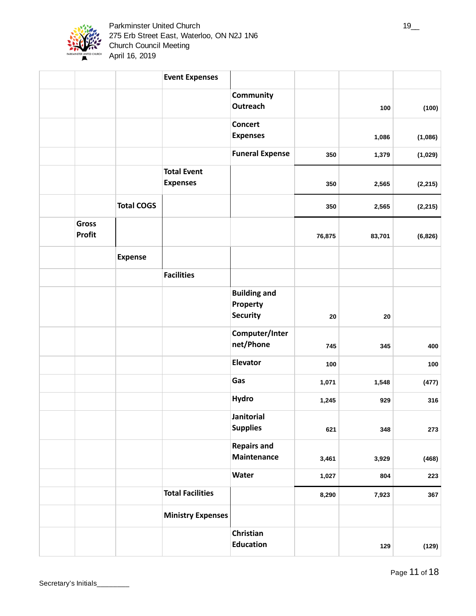

|                               |                   | <b>Event Expenses</b>                 |                                      |        |        |          |
|-------------------------------|-------------------|---------------------------------------|--------------------------------------|--------|--------|----------|
|                               |                   |                                       | Community<br>Outreach                |        | 100    | (100)    |
|                               |                   |                                       | <b>Concert</b><br><b>Expenses</b>    |        | 1,086  | (1,086)  |
|                               |                   |                                       | <b>Funeral Expense</b>               | 350    | 1,379  | (1,029)  |
|                               |                   | <b>Total Event</b><br><b>Expenses</b> |                                      | 350    | 2,565  | (2, 215) |
|                               | <b>Total COGS</b> |                                       |                                      | 350    | 2,565  | (2, 215) |
| <b>Gross</b><br><b>Profit</b> |                   |                                       |                                      | 76,875 | 83,701 | (6, 826) |
|                               | <b>Expense</b>    |                                       |                                      |        |        |          |
|                               |                   | <b>Facilities</b>                     |                                      |        |        |          |
|                               |                   |                                       | <b>Building and</b><br>Property      |        |        |          |
|                               |                   |                                       | <b>Security</b>                      | 20     | 20     |          |
|                               |                   |                                       | Computer/Inter<br>net/Phone          | 745    | 345    | 400      |
|                               |                   |                                       | Elevator                             | 100    |        | 100      |
|                               |                   |                                       | Gas                                  | 1,071  | 1,548  | (477)    |
|                               |                   |                                       | <b>Hydro</b>                         | 1,245  | 929    | 316      |
|                               |                   |                                       | <b>Janitorial</b><br><b>Supplies</b> | 621    | 348    | 273      |
|                               |                   |                                       | <b>Repairs and</b><br>Maintenance    | 3,461  | 3,929  | (468)    |
|                               |                   |                                       | Water                                | 1,027  | 804    | 223      |
|                               |                   | <b>Total Facilities</b>               |                                      | 8,290  | 7,923  | 367      |
|                               |                   | <b>Ministry Expenses</b>              |                                      |        |        |          |
|                               |                   |                                       | Christian<br><b>Education</b>        |        | 129    | (129)    |

 $\sim$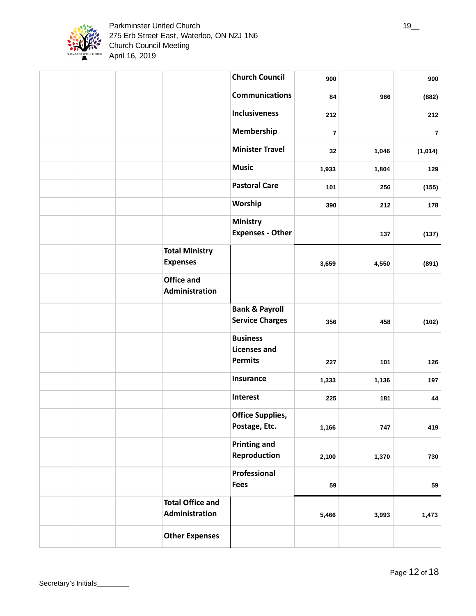

|                                           | <b>Church Council</b>                                    | 900                     |       | 900            |
|-------------------------------------------|----------------------------------------------------------|-------------------------|-------|----------------|
|                                           | <b>Communications</b>                                    | 84                      | 966   | (882)          |
|                                           | <b>Inclusiveness</b>                                     | 212                     |       | 212            |
|                                           | Membership                                               | $\overline{\mathbf{z}}$ |       | $\overline{7}$ |
|                                           | <b>Minister Travel</b>                                   | 32                      | 1,046 | (1,014)        |
|                                           | <b>Music</b>                                             | 1,933                   | 1,804 | 129            |
|                                           | <b>Pastoral Care</b>                                     | 101                     | 256   | (155)          |
|                                           | Worship                                                  | 390                     | 212   | 178            |
|                                           | <b>Ministry</b><br><b>Expenses - Other</b>               |                         | 137   | (137)          |
| <b>Total Ministry</b><br><b>Expenses</b>  |                                                          | 3,659                   | 4,550 | (891)          |
| <b>Office and</b><br>Administration       |                                                          |                         |       |                |
|                                           | <b>Bank &amp; Payroll</b><br><b>Service Charges</b>      | 356                     | 458   | (102)          |
|                                           | <b>Business</b><br><b>Licenses and</b><br><b>Permits</b> | 227                     | 101   | 126            |
|                                           | Insurance                                                | 1,333                   | 1,136 | 197            |
|                                           | <b>Interest</b>                                          | 225                     | 181   | 44             |
|                                           | <b>Office Supplies,</b><br>Postage, Etc.                 | 1,166                   | 747   | 419            |
|                                           | <b>Printing and</b><br>Reproduction                      | 2,100                   | 1,370 | 730            |
|                                           | Professional<br><b>Fees</b>                              | 59                      |       | 59             |
| <b>Total Office and</b><br>Administration |                                                          | 5,466                   | 3,993 | 1,473          |
| <b>Other Expenses</b>                     |                                                          |                         |       |                |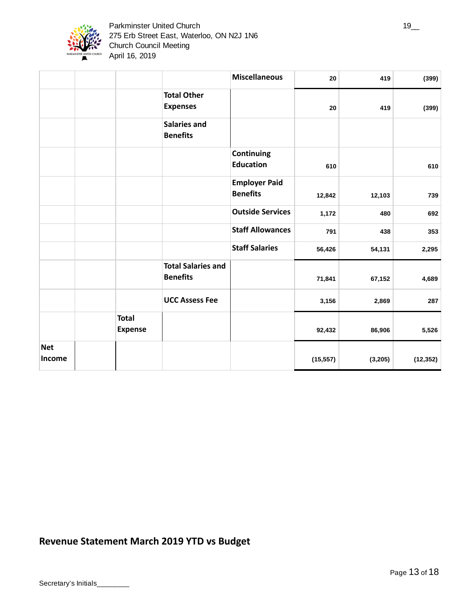

|                      |                                |                                              | <b>Miscellaneous</b>                    | 20        | 419      | (399)     |
|----------------------|--------------------------------|----------------------------------------------|-----------------------------------------|-----------|----------|-----------|
|                      |                                | <b>Total Other</b><br><b>Expenses</b>        |                                         | 20        | 419      | (399)     |
|                      |                                | <b>Salaries and</b><br><b>Benefits</b>       |                                         |           |          |           |
|                      |                                |                                              | Continuing<br><b>Education</b>          | 610       |          | 610       |
|                      |                                |                                              | <b>Employer Paid</b><br><b>Benefits</b> | 12,842    | 12,103   | 739       |
|                      |                                |                                              | <b>Outside Services</b>                 | 1,172     | 480      | 692       |
|                      |                                |                                              | <b>Staff Allowances</b>                 | 791       | 438      | 353       |
|                      |                                |                                              | <b>Staff Salaries</b>                   | 56,426    | 54,131   | 2,295     |
|                      |                                | <b>Total Salaries and</b><br><b>Benefits</b> |                                         | 71,841    | 67,152   | 4,689     |
|                      |                                | <b>UCC Assess Fee</b>                        |                                         | 3,156     | 2,869    | 287       |
|                      | <b>Total</b><br><b>Expense</b> |                                              |                                         | 92,432    | 86,906   | 5,526     |
| <b>Net</b><br>Income |                                |                                              |                                         | (15, 557) | (3, 205) | (12, 352) |

# **Revenue Statement March 2019 YTD vs Budget**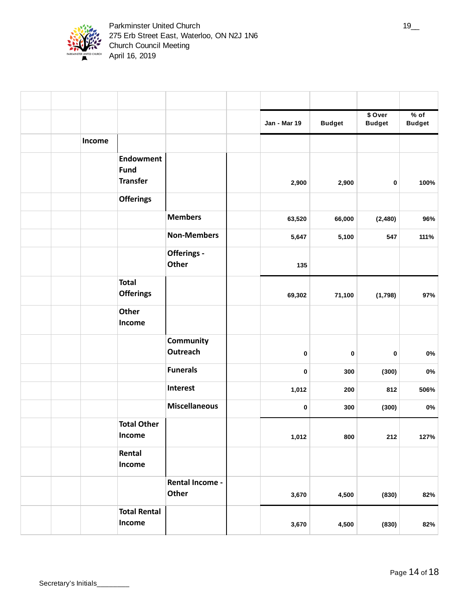

|  |                                                    |                                 | Jan - Mar 19 | <b>Budget</b> | \$ Over<br><b>Budget</b> | % of<br><b>Budget</b> |
|--|----------------------------------------------------|---------------------------------|--------------|---------------|--------------------------|-----------------------|
|  | Income                                             |                                 |              |               |                          |                       |
|  | <b>Endowment</b><br><b>Fund</b><br><b>Transfer</b> |                                 | 2,900        | 2,900         | 0                        | 100%                  |
|  | <b>Offerings</b>                                   |                                 |              |               |                          |                       |
|  |                                                    | <b>Members</b>                  | 63,520       | 66,000        | (2,480)                  | 96%                   |
|  |                                                    | <b>Non-Members</b>              | 5,647        | 5,100         | 547                      | 111%                  |
|  |                                                    | Offerings -<br><b>Other</b>     | 135          |               |                          |                       |
|  | <b>Total</b><br><b>Offerings</b>                   |                                 | 69,302       | 71,100        | (1,798)                  | 97%                   |
|  | <b>Other</b><br>Income                             |                                 |              |               |                          |                       |
|  |                                                    | Community<br><b>Outreach</b>    | 0            | $\pmb{0}$     | 0                        | 0%                    |
|  |                                                    | <b>Funerals</b>                 | 0            | 300           | (300)                    | 0%                    |
|  |                                                    | <b>Interest</b>                 | 1,012        | 200           | 812                      | 506%                  |
|  |                                                    | <b>Miscellaneous</b>            | 0            | 300           | (300)                    | 0%                    |
|  | <b>Total Other</b><br>Income                       |                                 | 1,012        | 800           | 212                      | 127%                  |
|  | Rental<br>Income                                   |                                 |              |               |                          |                       |
|  |                                                    | <b>Rental Income -</b><br>Other | 3,670        | 4,500         | (830)                    | 82%                   |
|  | <b>Total Rental</b><br>Income                      |                                 | 3,670        | 4,500         | (830)                    | 82%                   |

 $\overline{1}$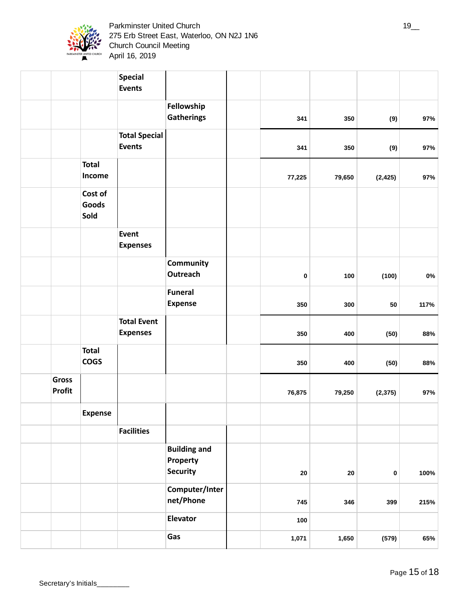

Parkminster United Church 19\_2 and 19\_2 and 19\_2 and 19\_2 and 19\_2 and 19\_2 and 19\_2 and 19\_2 and 19\_2 and 19\_ 275 Erb Street East, Waterloo, ON N2J 1N6 Church Council Meeting April 16, 2019

|                        |                             | Special<br><b>Events</b>              |                                                    |            |        |          |       |
|------------------------|-----------------------------|---------------------------------------|----------------------------------------------------|------------|--------|----------|-------|
|                        |                             |                                       | Fellowship                                         |            |        |          |       |
|                        |                             |                                       | <b>Gatherings</b>                                  | 341        | 350    | (9)      | 97%   |
|                        |                             | <b>Total Special</b><br><b>Events</b> |                                                    | 341        | 350    | (9)      | 97%   |
|                        | <b>Total</b><br>Income      |                                       |                                                    | 77,225     | 79,650 | (2, 425) | 97%   |
|                        | Cost of<br>Goods<br>Sold    |                                       |                                                    |            |        |          |       |
|                        |                             | Event<br><b>Expenses</b>              |                                                    |            |        |          |       |
|                        |                             |                                       | Community<br><b>Outreach</b>                       | 0          | 100    | (100)    | $0\%$ |
|                        |                             |                                       | <b>Funeral</b><br><b>Expense</b>                   | 350        | 300    | 50       | 117%  |
|                        |                             | <b>Total Event</b><br><b>Expenses</b> |                                                    | 350        | 400    | (50)     | 88%   |
|                        | <b>Total</b><br><b>COGS</b> |                                       |                                                    | 350        | 400    | (50)     | 88%   |
| Gross<br><b>Profit</b> |                             |                                       |                                                    | 76,875     | 79,250 | (2, 375) | 97%   |
|                        | <b>Expense</b>              |                                       |                                                    |            |        |          |       |
|                        |                             | <b>Facilities</b>                     |                                                    |            |        |          |       |
|                        |                             |                                       | <b>Building and</b><br>Property<br><b>Security</b> | ${\bf 20}$ | 20     | 0        | 100%  |
|                        |                             |                                       | Computer/Inter<br>net/Phone                        | 745        | 346    | 399      | 215%  |
|                        |                             |                                       | <b>Elevator</b>                                    | 100        |        |          |       |
|                        |                             |                                       | Gas                                                | 1,071      | 1,650  | (579)    | 65%   |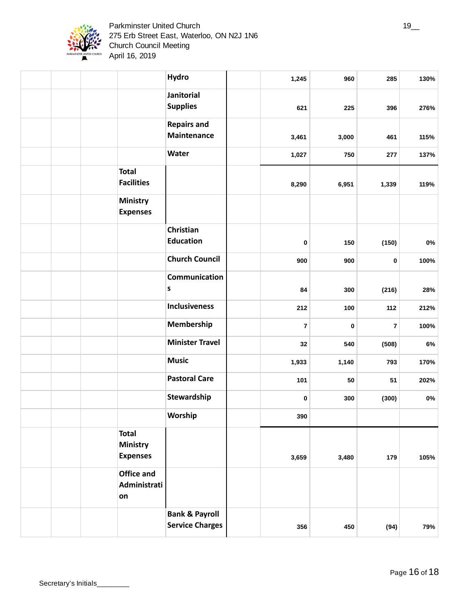

Secretary's Initials\_\_\_\_\_

|                                                    | <b>Hydro</b>                                        | 1,245 | 960   | 285                     | 130%  |
|----------------------------------------------------|-----------------------------------------------------|-------|-------|-------------------------|-------|
|                                                    | Janitorial<br><b>Supplies</b>                       | 621   | 225   | 396                     | 276%  |
|                                                    | <b>Repairs and</b><br><b>Maintenance</b>            | 3,461 | 3,000 | 461                     | 115%  |
|                                                    | Water                                               | 1,027 | 750   | 277                     | 137%  |
| <b>Total</b><br><b>Facilities</b>                  |                                                     | 8,290 | 6,951 | 1,339                   | 119%  |
| Ministry<br><b>Expenses</b>                        |                                                     |       |       |                         |       |
|                                                    | Christian<br><b>Education</b>                       | 0     | 150   | (150)                   | $0\%$ |
|                                                    | <b>Church Council</b>                               | 900   | 900   | $\pmb{0}$               | 100%  |
|                                                    | Communication<br>S                                  | 84    | 300   | (216)                   | 28%   |
|                                                    | <b>Inclusiveness</b>                                | 212   | 100   | 112                     | 212%  |
|                                                    | Membership                                          | 7     | 0     | $\overline{\mathbf{z}}$ | 100%  |
|                                                    | <b>Minister Travel</b>                              | 32    | 540   | (508)                   | 6%    |
|                                                    | <b>Music</b>                                        | 1,933 | 1,140 | 793                     | 170%  |
|                                                    | <b>Pastoral Care</b>                                | 101   | 50    | 51                      | 202%  |
|                                                    | Stewardship                                         | 0     | 300   | (300)                   | 0%    |
|                                                    | Worship                                             | 390   |       |                         |       |
| <b>Total</b><br><b>Ministry</b><br><b>Expenses</b> |                                                     | 3,659 | 3,480 | 179                     | 105%  |
| Office and<br>Administrati<br>on                   |                                                     |       |       |                         |       |
|                                                    | <b>Bank &amp; Payroll</b><br><b>Service Charges</b> | 356   | 450   | (94)                    | 79%   |

 $\overline{1}$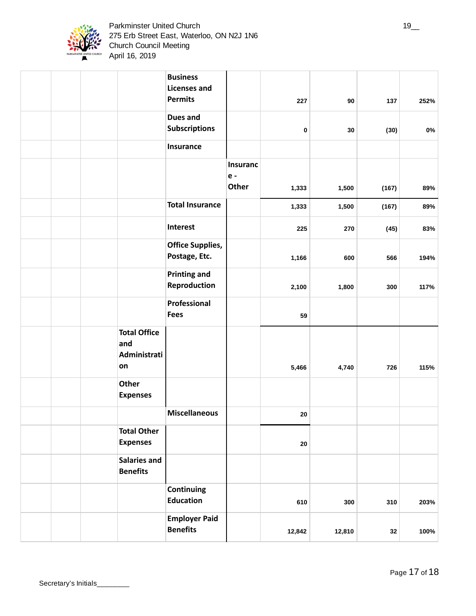

|                                                  | <b>Business</b><br><b>Licenses and</b><br><b>Permits</b> |                 | 227    | $90\,$ | 137   | 252%  |
|--------------------------------------------------|----------------------------------------------------------|-----------------|--------|--------|-------|-------|
|                                                  | <b>Dues and</b><br><b>Subscriptions</b>                  |                 | 0      | 30     | (30)  | $0\%$ |
|                                                  | Insurance                                                |                 |        |        |       |       |
|                                                  |                                                          | <b>Insuranc</b> |        |        |       |       |
|                                                  |                                                          | $e -$<br>Other  | 1,333  | 1,500  | (167) | 89%   |
|                                                  | <b>Total Insurance</b>                                   |                 | 1,333  | 1,500  | (167) | 89%   |
|                                                  | Interest                                                 |                 | 225    | 270    | (45)  | 83%   |
|                                                  | <b>Office Supplies,</b><br>Postage, Etc.                 |                 | 1,166  | 600    | 566   | 194%  |
|                                                  | <b>Printing and</b><br>Reproduction                      |                 | 2,100  | 1,800  | 300   | 117%  |
|                                                  | Professional<br><b>Fees</b>                              |                 | 59     |        |       |       |
| <b>Total Office</b><br>and<br>Administrati<br>on |                                                          |                 | 5,466  | 4,740  | 726   | 115%  |
| Other<br><b>Expenses</b>                         |                                                          |                 |        |        |       |       |
|                                                  | <b>Miscellaneous</b>                                     |                 | 20     |        |       |       |
| <b>Total Other</b><br><b>Expenses</b>            |                                                          |                 | 20     |        |       |       |
| <b>Salaries and</b><br><b>Benefits</b>           |                                                          |                 |        |        |       |       |
|                                                  | Continuing<br><b>Education</b>                           |                 | 610    | 300    | 310   | 203%  |
|                                                  | <b>Employer Paid</b><br><b>Benefits</b>                  |                 | 12,842 | 12,810 | 32    | 100%  |